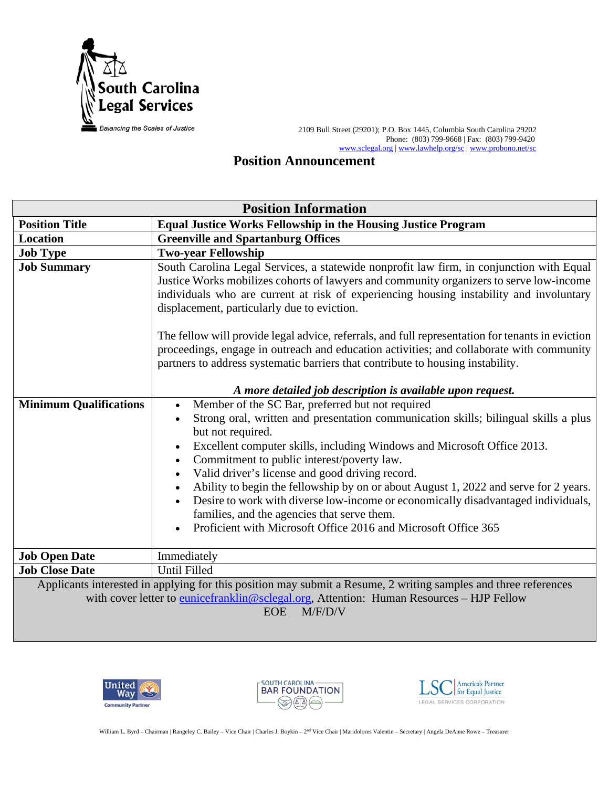

 2109 Bull Street (29201); P.O. Box 1445, Columbia South Carolina 29202 Phone: (803) 799-9668 | Fax: (803) 799-9420 [www.sclegal.org](http://www.sclegal.org/) [| www.lawhelp.org/sc](http://www.lawhelp.org/sc) [| www.probono.net/sc](http://www.probono.net/sc)

# **Position Announcement**

| <b>Position Information</b>                                                                                                                                                                                                                  |                                                                                                                                                                                                                                                                                                                                                                                                                                                                                                                                                                                                                                                     |
|----------------------------------------------------------------------------------------------------------------------------------------------------------------------------------------------------------------------------------------------|-----------------------------------------------------------------------------------------------------------------------------------------------------------------------------------------------------------------------------------------------------------------------------------------------------------------------------------------------------------------------------------------------------------------------------------------------------------------------------------------------------------------------------------------------------------------------------------------------------------------------------------------------------|
| <b>Position Title</b>                                                                                                                                                                                                                        | <b>Equal Justice Works Fellowship in the Housing Justice Program</b>                                                                                                                                                                                                                                                                                                                                                                                                                                                                                                                                                                                |
| Location                                                                                                                                                                                                                                     | <b>Greenville and Spartanburg Offices</b>                                                                                                                                                                                                                                                                                                                                                                                                                                                                                                                                                                                                           |
| <b>Job Type</b>                                                                                                                                                                                                                              | <b>Two-year Fellowship</b>                                                                                                                                                                                                                                                                                                                                                                                                                                                                                                                                                                                                                          |
| <b>Job Summary</b>                                                                                                                                                                                                                           | South Carolina Legal Services, a statewide nonprofit law firm, in conjunction with Equal<br>Justice Works mobilizes cohorts of lawyers and community organizers to serve low-income<br>individuals who are current at risk of experiencing housing instability and involuntary<br>displacement, particularly due to eviction.<br>The fellow will provide legal advice, referrals, and full representation for tenants in eviction<br>proceedings, engage in outreach and education activities; and collaborate with community<br>partners to address systematic barriers that contribute to housing instability.                                    |
|                                                                                                                                                                                                                                              | A more detailed job description is available upon request.                                                                                                                                                                                                                                                                                                                                                                                                                                                                                                                                                                                          |
| <b>Minimum Qualifications</b>                                                                                                                                                                                                                | Member of the SC Bar, preferred but not required<br>Strong oral, written and presentation communication skills; bilingual skills a plus<br>but not required.<br>Excellent computer skills, including Windows and Microsoft Office 2013.<br>Commitment to public interest/poverty law.<br>$\bullet$<br>Valid driver's license and good driving record.<br>Ability to begin the fellowship by on or about August 1, 2022 and serve for 2 years.<br>Desire to work with diverse low-income or economically disadvantaged individuals,<br>families, and the agencies that serve them.<br>Proficient with Microsoft Office 2016 and Microsoft Office 365 |
| <b>Job Open Date</b>                                                                                                                                                                                                                         | Immediately                                                                                                                                                                                                                                                                                                                                                                                                                                                                                                                                                                                                                                         |
| <b>Job Close Date</b>                                                                                                                                                                                                                        | <b>Until Filled</b>                                                                                                                                                                                                                                                                                                                                                                                                                                                                                                                                                                                                                                 |
| Applicants interested in applying for this position may submit a Resume, 2 writing samples and three references<br>with cover letter to <b>eunicefranklin@sclegal.org</b> , Attention: Human Resources - HJP Fellow<br><b>EOE</b><br>M/F/D/V |                                                                                                                                                                                                                                                                                                                                                                                                                                                                                                                                                                                                                                                     |





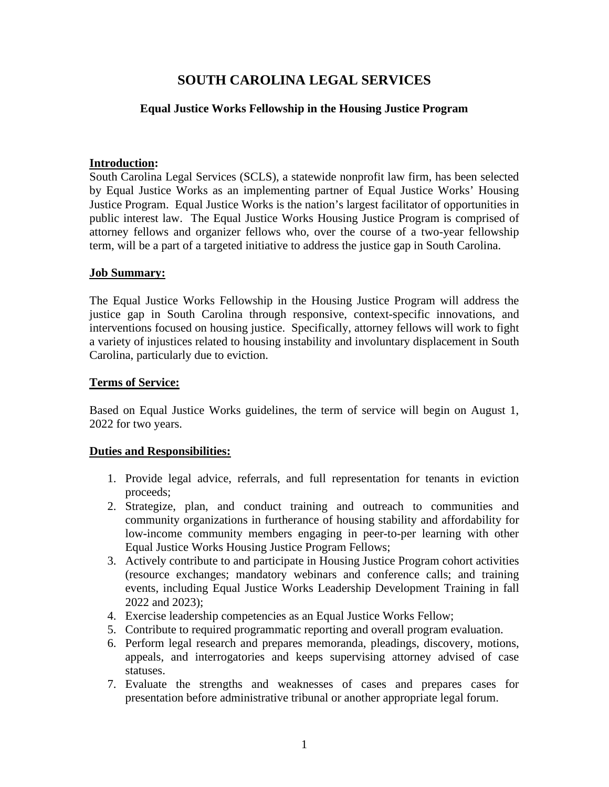## **SOUTH CAROLINA LEGAL SERVICES**

## **Equal Justice Works Fellowship in the Housing Justice Program**

#### **Introduction:**

South Carolina Legal Services (SCLS), a statewide nonprofit law firm, has been selected by Equal Justice Works as an implementing partner of Equal Justice Works' Housing Justice Program. Equal Justice Works is the nation's largest facilitator of opportunities in public interest law. The Equal Justice Works Housing Justice Program is comprised of attorney fellows and organizer fellows who, over the course of a two-year fellowship term, will be a part of a targeted initiative to address the justice gap in South Carolina.

## **Job Summary:**

The Equal Justice Works Fellowship in the Housing Justice Program will address the justice gap in South Carolina through responsive, context-specific innovations, and interventions focused on housing justice. Specifically, attorney fellows will work to fight a variety of injustices related to housing instability and involuntary displacement in South Carolina, particularly due to eviction.

#### **Terms of Service:**

Based on Equal Justice Works guidelines, the term of service will begin on August 1, 2022 for two years.

#### **Duties and Responsibilities:**

- 1. Provide legal advice, referrals, and full representation for tenants in eviction proceeds;
- 2. Strategize, plan, and conduct training and outreach to communities and community organizations in furtherance of housing stability and affordability for low-income community members engaging in peer-to-per learning with other Equal Justice Works Housing Justice Program Fellows;
- 3. Actively contribute to and participate in Housing Justice Program cohort activities (resource exchanges; mandatory webinars and conference calls; and training events, including Equal Justice Works Leadership Development Training in fall 2022 and 2023);
- 4. Exercise leadership competencies as an Equal Justice Works Fellow;
- 5. Contribute to required programmatic reporting and overall program evaluation.
- 6. Perform legal research and prepares memoranda, pleadings, discovery, motions, appeals, and interrogatories and keeps supervising attorney advised of case statuses.
- 7. Evaluate the strengths and weaknesses of cases and prepares cases for presentation before administrative tribunal or another appropriate legal forum.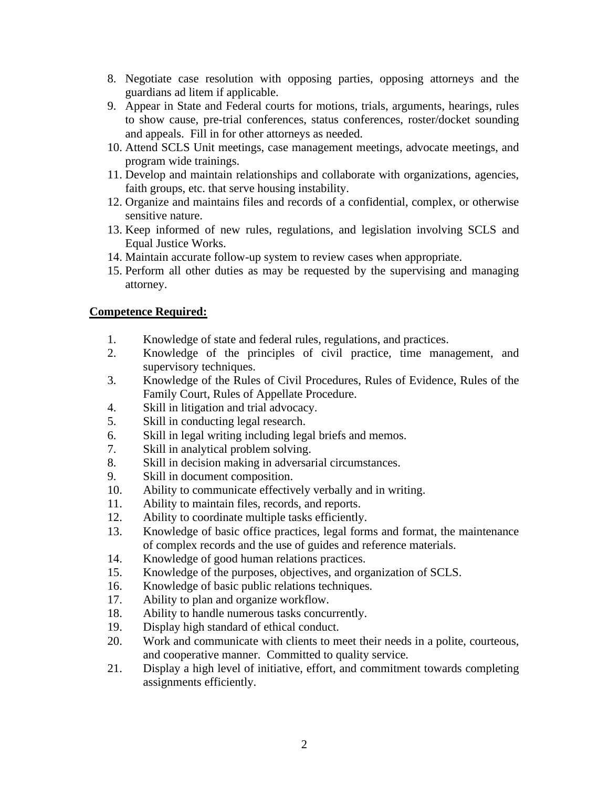- 8. Negotiate case resolution with opposing parties, opposing attorneys and the guardians ad litem if applicable.
- 9. Appear in State and Federal courts for motions, trials, arguments, hearings, rules to show cause, pre-trial conferences, status conferences, roster/docket sounding and appeals. Fill in for other attorneys as needed.
- 10. Attend SCLS Unit meetings, case management meetings, advocate meetings, and program wide trainings.
- 11. Develop and maintain relationships and collaborate with organizations, agencies, faith groups, etc. that serve housing instability.
- 12. Organize and maintains files and records of a confidential, complex, or otherwise sensitive nature.
- 13. Keep informed of new rules, regulations, and legislation involving SCLS and Equal Justice Works.
- 14. Maintain accurate follow-up system to review cases when appropriate.
- 15. Perform all other duties as may be requested by the supervising and managing attorney.

## **Competence Required:**

- 1. Knowledge of state and federal rules, regulations, and practices.
- 2. Knowledge of the principles of civil practice, time management, and supervisory techniques.
- 3. Knowledge of the Rules of Civil Procedures, Rules of Evidence, Rules of the Family Court, Rules of Appellate Procedure.
- 4. Skill in litigation and trial advocacy.
- 5. Skill in conducting legal research.
- 6. Skill in legal writing including legal briefs and memos.
- 7. Skill in analytical problem solving.
- 8. Skill in decision making in adversarial circumstances.
- 9. Skill in document composition.
- 10. Ability to communicate effectively verbally and in writing.
- 11. Ability to maintain files, records, and reports.
- 12. Ability to coordinate multiple tasks efficiently.
- 13. Knowledge of basic office practices, legal forms and format, the maintenance of complex records and the use of guides and reference materials.
- 14. Knowledge of good human relations practices.
- 15. Knowledge of the purposes, objectives, and organization of SCLS.
- 16. Knowledge of basic public relations techniques.
- 17. Ability to plan and organize workflow.
- 18. Ability to handle numerous tasks concurrently.
- 19. Display high standard of ethical conduct.
- 20. Work and communicate with clients to meet their needs in a polite, courteous, and cooperative manner. Committed to quality service.
- 21. Display a high level of initiative, effort, and commitment towards completing assignments efficiently.